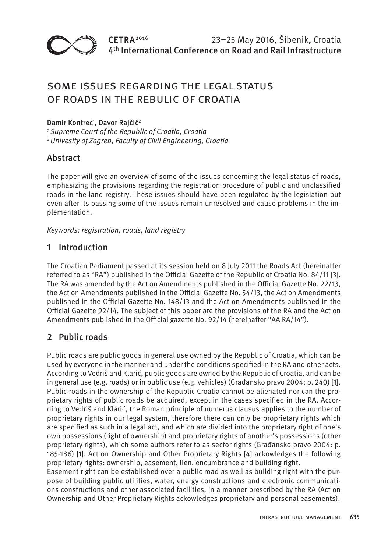

# Some issues regarding the legal status of roads in the Rebulic of Croatia

### Damir Kontrec<sup>1</sup>, Davor Rajčić<sup>2</sup>

*<sup>1</sup> Supreme Court of the Republic of Croatia, Croatia <sup>2</sup> Univesity of Zagreb, Faculty of Civil Engineering, Croatia*

### **Abstract**

The paper will give an overview of some of the issues concerning the legal status of roads, emphasizing the provisions regarding the registration procedure of public and unclassified roads in the land registry. These issues should have been regulated by the legislation but even after its passing some of the issues remain unresolved and cause problems in the implementation.

*Keywords: registration, roads, land registry* 

### 1 Introduction

The Croatian Parliament passed at its session held on 8 July 2011 the Roads Act (hereinafter referred to as "RA") published in the Official Gazette of the Republic of Croatia No. 84/11 [3]. The RA was amended by the Act on Amendments published in the Official Gazette No. 22/13, the Act on Amendments published in the Official Gazette No. 54/13, the Act on Amendments published in the Official Gazette No. 148/13 and the Act on Amendments published in the Official Gazette 92/14. The subject of this paper are the provisions of the RA and the Act on Amendments published in the Official gazette No. 92/14 (hereinafter "AA RA/14").

# 2 Public roads

Public roads are public goods in general use owned by the Republic of Croatia, which can be used by everyone in the manner and under the conditions specified in the RA and other acts. According to Vedriš and Klarić, public goods are owned by the Republic of Croatia, and can be in general use (e.g. roads) or in public use (e.g. vehicles) (Građansko pravo 2004: p. 240) [1]. Public roads in the ownership of the Republic Croatia cannot be alienated nor can the proprietary rights of public roads be acquired, except in the cases specified in the RA. According to Vedriš and Klarić, the Roman principle of numerus clausus applies to the number of proprietary rights in our legal system, therefore there can only be proprietary rights which are specified as such in a legal act, and which are divided into the proprietary right of one's own possessions (right of ownership) and proprietary rights of another's possessions (other proprietary rights), which some authors refer to as sector rights (Građansko pravo 2004: p. 185-186) [1]. Act on Ownership and Other Proprietary Rights [4] ackowledges the following proprietary rights: ownership, easement, lien, encumbrance and building right.

Easement right can be established over a public road as well as building right with the purpose of building public utilities, water, energy constructions and electronic communications constructions and other associated facilities, in a manner prescribed by the RA (Act on Ownership and Other Proprietary Rights ackowledges proprietary and personal easements).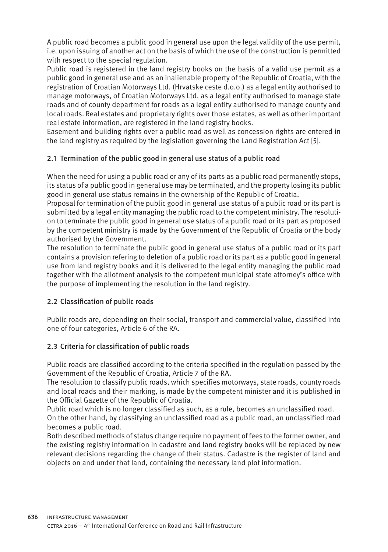A public road becomes a public good in general use upon the legal validity of the use permit, i.e. upon issuing of another act on the basis of which the use of the construction is permitted with respect to the special regulation.

Public road is registered in the land registry books on the basis of a valid use permit as a public good in general use and as an inalienable property of the Republic of Croatia, with the registration of Croatian Motorways Ltd. (Hrvatske ceste d.o.o.) as a legal entity authorised to manage motorways, of Croatian Motorways Ltd. as a legal entity authorised to manage state roads and of county department for roads as a legal entity authorised to manage county and local roads. Real estates and proprietary rights over those estates, as well as other important real estate information, are registered in the land registry books.

Easement and building rights over a public road as well as concession rights are entered in the land registry as required by the legislation governing the Land Registration Act [5].

#### 2.1 Termination of the public good in general use status of a public road

When the need for using a public road or any of its parts as a public road permanently stops, its status of a public good in general use may be terminated, and the property losing its public good in general use status remains in the ownership of the Republic of Croatia.

Proposal for termination of the public good in general use status of a public road or its part is submitted by a legal entity managing the public road to the competent ministry. The resolution to terminate the public good in general use status of a public road or its part as proposed by the competent ministry is made by the Government of the Republic of Croatia or the body authorised by the Government.

The resolution to terminate the public good in general use status of a public road or its part contains a provision refering to deletion of a public road or its part as a public good in general use from land registry books and it is delivered to the legal entity managing the public road together with the allotment analysis to the competent municipal state attorney's office with the purpose of implementing the resolution in the land registry.

#### 2.2 Classification of public roads

Public roads are, depending on their social, transport and commercial value, classified into one of four categories, Article 6 of the RA.

#### 2.3 Criteria for classification of public roads

Public roads are classified according to the criteria specified in the regulation passed by the Government of the Republic of Croatia, Article 7 of the RA.

The resolution to classify public roads, which specifies motorways, state roads, county roads and local roads and their marking, is made by the competent minister and it is published in the Official Gazette of the Republic of Croatia.

Public road which is no longer classified as such, as a rule, becomes an unclassified road. On the other hand, by classifying an unclassified road as a public road, an unclassified road becomes a public road.

Both described methods of status change require no payment of fees to the former owner, and the existing registry information in cadastre and land registry books will be replaced by new relevant decisions regarding the change of their status. Cadastre is the register of land and objects on and under that land, containing the necessary land plot information.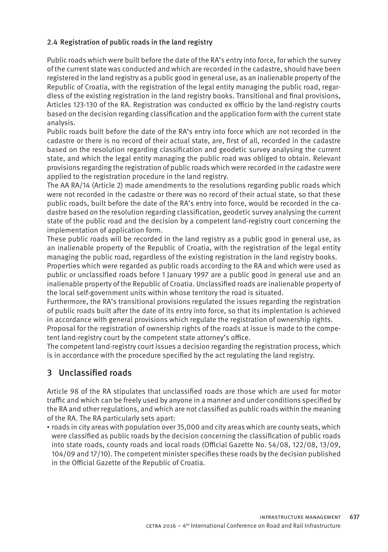#### 2.4 Registration of public roads in the land registry

Public roads which were built before the date of the RA's entry into force, for which the survey of the current state was conducted and which are recorded in the cadastre, should have been registered in the land registry as a public good in general use, as an inalienable property of the Republic of Croatia, with the registration of the legal entity managing the public road, regardless of the existing registration in the land registry books. Transitional and final provisions, Articles 123-130 of the RA. Registration was conducted ex officio by the land-registry courts based on the decision regarding classification and the application form with the current state analysis.

Public roads built before the date of the RA's entry into force which are not recorded in the cadastre or there is no record of their actual state, are, first of all, recorded in the cadastre based on the resolution regarding classification and geodetic survey analysing the current state, and which the legal entity managing the public road was obliged to obtain. Relevant provisions regarding the registration of public roads which were recorded in the cadastre were applied to the registration procedure in the land registry.

The AA RA/14 (Article 2) made amendments to the resolutions regarding public roads which were not recorded in the cadastre or there was no record of their actual state, so that these public roads, built before the date of the RA's entry into force, would be recorded in the cadastre based on the resolution regarding classification, geodetic survey analysing the current state of the public road and the decision by a competent land-registry court concerning the implementation of application form.

These public roads will be recorded in the land registry as a public good in general use, as an inalienable property of the Republic of Croatia, with the registration of the legal entity managing the public road, regardless of the existing registration in the land registry books.

Properties which were regarded as public roads according to the RA and which were used as public or unclassified roads before 1 January 1997 are a public good in general use and an inalienable property of the Republic of Croatia. Unclassified roads are inalienable property of the local self-government units within whose territory the road is situated.

Furthermore, the RA's transitional provisions regulated the issues regarding the registration of public roads built after the date of its entry into force, so that its implentation is achieved in accordance with general provisions which regulate the registration of ownership rights.

Proposal for the registration of ownership rights of the roads at issue is made to the competent land-registry court by the competent state attorney's office.

The competent land-registry court issues a decision regarding the registration process, which is in accordance with the procedure specified by the act regulating the land registry.

# 3 Unclassified roads

Article 98 of the RA stipulates that unclassified roads are those which are used for motor traffic and which can be freely used by anyone in a manner and under conditions specified by the RA and other regulations, and which are not classified as public roads within the meaning of the RA. The RA particularly sets apart:

• roads in city areas with population over 35,000 and city areas which are county seats, which were classified as public roads by the decision concerning the classification of public roads into state roads, county roads and local roads (Official Gazette No. 54/08, 122/08, 13/09, 104/09 and 17/10). The competent minister specifies these roads by the decision published in the Official Gazette of the Republic of Croatia.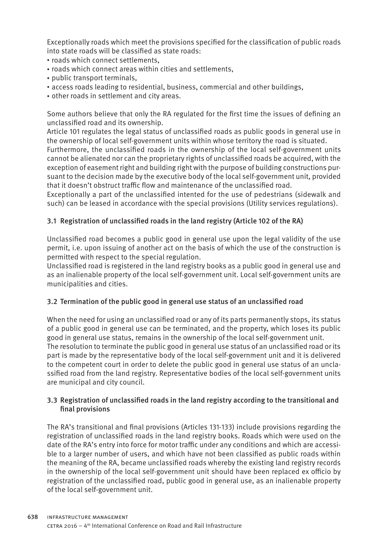Exceptionally roads which meet the provisions specified for the classification of public roads into state roads will be classified as state roads:

- roads which connect settlements,
- roads which connect areas within cities and settlements,
- public transport terminals,
- access roads leading to residential, business, commercial and other buildings,
- other roads in settlement and city areas.

Some authors believe that only the RA regulated for the first time the issues of defining an unclassified road and its ownership.

Article 101 regulates the legal status of unclassified roads as public goods in general use in the ownership of local self-government units within whose territory the road is situated.

Furthermore, the unclassified roads in the ownership of the local self-government units cannot be alienated nor can the proprietary rights of unclassified roads be acquired, with the exception of easement right and building right with the purpose of building constructions pursuant to the decision made by the executive body of the local self-government unit, provided that it doesn't obstruct traffic flow and maintenance of the unclassified road.

Exceptionally a part of the unclassified intented for the use of pedestrians (sidewalk and such) can be leased in accordance with the special provisions (Utility services regulations).

#### 3.1 Registration of unclassified roads in the land registry (Article 102 of the RA)

Unclassified road becomes a public good in general use upon the legal validity of the use permit, i.e. upon issuing of another act on the basis of which the use of the construction is permitted with respect to the special regulation.

Unclassified road is registered in the land registry books as a public good in general use and as an inalienable property of the local self-government unit. Local self-government units are municipalities and cities.

#### 3.2 Termination of the public good in general use status of an unclassified road

When the need for using an unclassified road or any of its parts permanently stops, its status of a public good in general use can be terminated, and the property, which loses its public good in general use status, remains in the ownership of the local self-government unit. The resolution to terminate the public good in general use status of an unclassified road or its part is made by the representative body of the local self-government unit and it is delivered to the competent court in order to delete the public good in general use status of an unclassified road from the land registry. Representative bodies of the local self-government units are municipal and city council.

#### 3.3 Registration of unclassified roads in the land registry according to the transitional and final provisions

The RA's transitional and final provisions (Articles 131-133) include provisions regarding the registration of unclassified roads in the land registry books. Roads which were used on the date of the RA's entry into force for motor traffic under any conditions and which are accessible to a larger number of users, and which have not been classified as public roads within the meaning of the RA, became unclassified roads whereby the existing land registry records in the ownership of the local self-government unit should have been replaced ex officio by registration of the unclassified road, public good in general use, as an inalienable property of the local self-government unit.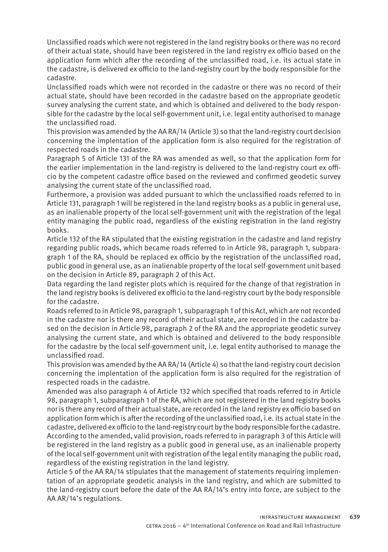Unclassified roads which were not registered in the land registry books or there was no record of their actual state, should have been registered in the land registry ex officio based on the application form which after the recording of the unclassified road, i.e. its actual state in the cadastre, is delivered ex officio to the land-registry court by the body responsible for the cadastre.

Unclassified roads which were not recorded in the cadastre or there was no record of their actual state, should have been recorded in the cadastre based on the appropriate geodetic survey analysing the current state, and which is obtained and delivered to the body responsible for the cadastre by the local self-government unit, i.e. legal entity authorised to manage the unclassified road.

This provision was amended by the AA RA/14 (Article 3) so that the land-registry court decision concerning the implentation of the application form is also required for the registration of respected roads in the cadastre.

Paragraph 5 of Article 131 of the RA was amended as well, so that the application form for the earlier implementation in the land-registry is delivered to the land-registry court ex officio by the competent cadastre office based on the reviewed and confirmed geodetic survey analysing the current state of the unclassified road.

Furthermore, a provision was added pursuant to which the unclassified roads referred to in Article 131, paragraph 1 will be registered in the land registry books as a public in general use, as an inalienable property of the local self-government unit with the registration of the legal entity managing the public road, regardless of the existing registration in the land registry books.

Article 132 of the RA stipulated that the existing registration in the cadastre and land registry regarding public roads, which became roads referred to in Article 98, paragraph 1, subparagraph 1 of the RA, should be replaced ex officio by the registration of the unclassified road, public good in general use, as an inalienable property of the local self-government unit based on the decision in Article 89, paragraph 2 of this Act.

Data regarding the land register plots which is required for the change of that registration in the land registry books is delivered ex officio to the land-registry court by the body responsible for the cadastre.

Roads referred to in Article 98, paragraph 1, subparagraph 1 of this Act, which are not recorded in the cadastre nor is there any record of their actual state, are recorded in the cadastre based on the decision in Article 98, paragraph 2 of the RA and the appropriate geodetic survey analysing the current state, and which is obtained and delivered to the body responsible for the cadastre by the local self-government unit, i.e. legal entity authorised to manage the unclassified road.

This provision was amended by the AA RA/14 (Article 4) so that the land-registry court decision concerning the implentation of the application form is also required for the registration of respected roads in the cadastre.

Amended was also paragraph 4 of Article 132 which specified that roads referred to in Article 98, paragraph 1, subparagraph 1 of the RA, which are not registered in the land registry books nor is there any record of their actual state, are recorded in the land registry ex officio based on application form which is after the recording of the unclassified road, i.e. its actual state in the cadastre, delivered ex officio to the land-registry court by the body responsible for the cadastre. According to the amended, valid provision, roads referred to in paragraph 3 of this Article will be registered in the land registry as a public good in general use, as an inalienable property of the local self-government unit with registration of the legal entity managing the public road, regardless of the existing registration in the land legistry.

Article 5 of the AA RA/14 stipulates that the management of statements requiring implementation of an appropriate geodetic analysis in the land registry, and which are submitted to the land-registry court before the date of the AA RA/14's entry into force, are subject to the AA AR/14's regulations.